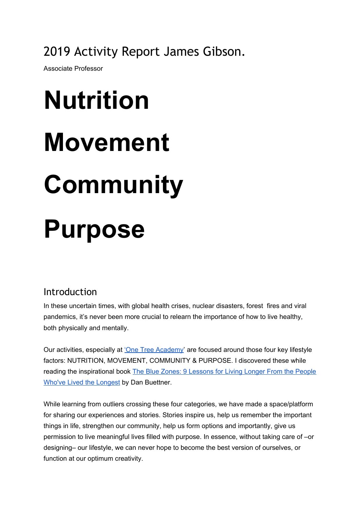2019 Activity Report James Gibson.

Associate Professor

# **Nutrition Movement Community Purpose**

## Introduction

In these uncertain times, with global health crises, nuclear disasters, forest fires and viral pandemics, it's never been more crucial to relearn the importance of how to live healthy, both physically and mentally.

Our activities, especially at 'One Tree [Academy](http://www.onetreeacademy.xyz/)' are focused around those four key lifestyle factors: NUTRITION, MOVEMENT, COMMUNITY & PURPOSE. I discovered these while reading the inspirational book The Blue Zones: 9 [Lessons](https://onetreeacademy.xyz/recommended) for Living Longer From the People Who've Lived the [Longest](https://onetreeacademy.xyz/recommended) by Dan Buettner.

While learning from outliers crossing these four categories, we have made a space/platform for sharing our experiences and stories. Stories inspire us, help us remember the important things in life, strengthen our community, help us form options and importantly, give us permission to live meaningful lives filled with purpose. In essence, without taking care of –or designing– our lifestyle, we can never hope to become the best version of ourselves, or function at our optimum creativity.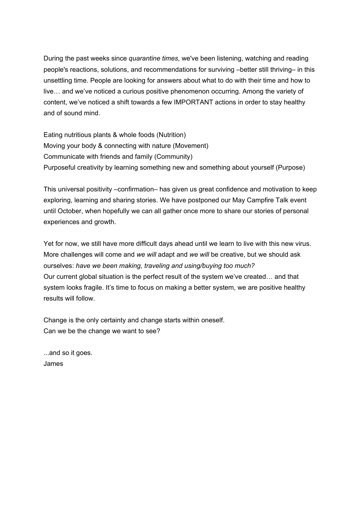During the past weeks since *quarantine times*, we've been listening, watching and reading people's reactions, solutions, and recommendations for surviving –better still thriving– in this unsettling time. People are looking for answers about what to do with their time and how to live… and we've noticed a curious positive phenomenon occurring. Among the variety of content, we've noticed a shift towards a few IMPORTANT actions in order to stay healthy and of sound mind.

Eating nutritious plants & whole foods (Nutrition) Moving your body & connecting with nature (Movement) Communicate with friends and family (Community) Purposeful creativity by learning something new and something about yourself (Purpose)

This universal positivity –confirmation– has given us great confidence and motivation to keep exploring, learning and sharing stories. We have postponed our May Campfire Talk event until October, when hopefully we can all gather once more to share our stories of personal experiences and growth.

Yet for now, we still have more difficult days ahead until we learn to live with this new virus. More challenges will come and *we will* adapt and *we will* be creative, but we should ask ourselves: *have we been making, traveling and using/buying too much?* Our current global situation is the perfect result of the system we've created… and that system looks fragile. It's time to focus on making a better system, we are positive healthy results will follow.

Change is the only certainty and change starts within oneself. Can we be the change we want to see?

...and so it goes. James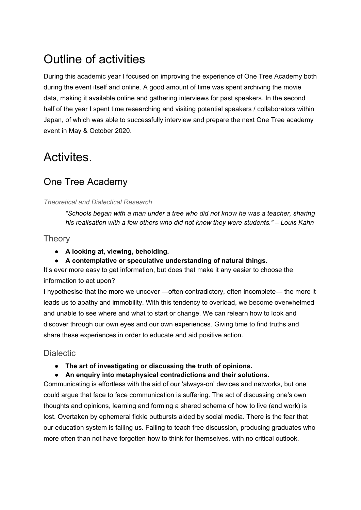# Outline of activities

During this academic year I focused on improving the experience of One Tree Academy both during the event itself and online. A good amount of time was spent archiving the movie data, making it available online and gathering interviews for past speakers. In the second half of the year I spent time researching and visiting potential speakers / collaborators within Japan, of which was able to successfully interview and prepare the next One Tree academy event in May & October 2020.

## Activites.

## One Tree Academy

### *Theoretical and Dialectical Research*

*"Schools began with a man under a tree who did not know he was a teacher, sharing his realisation with a few others who did not know they were students." – Louis Kahn*

## **Theory**

- **● A looking at, viewing, beholding.**
- **● A contemplative or speculative understanding of natural things.**

It's ever more easy to get information, but does that make it any easier to choose the information to act upon?

I hypothesise that the more we uncover —often contradictory, often incomplete— the more it leads us to apathy and immobility. With this tendency to overload, we become overwhelmed and unable to see where and what to start or change. We can relearn how to look and discover through our own eyes and our own experiences. Giving time to find truths and share these experiences in order to educate and aid positive action.

## **Dialectic**

- **● The art of investigating or discussing the truth of opinions.**
- **● An enquiry into metaphysical contradictions and their solutions.**

Communicating is effortless with the aid of our 'always-on' devices and networks, but one could argue that face to face communication is suffering. The act of discussing one's own thoughts and opinions, learning and forming a shared schema of how to live (and work) is lost. Overtaken by ephemeral fickle outbursts aided by social media. There is the fear that our education system is failing us. Failing to teach free discussion, producing graduates who more often than not have forgotten how to think for themselves, with no critical outlook.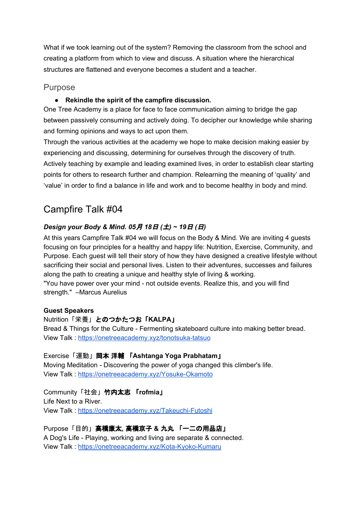What if we took learning out of the system? Removing the classroom from the school and creating a platform from which to view and discuss. A situation where the hierarchical structures are flattened and everyone becomes a student and a teacher.

## Purpose

## **● Rekindle the spirit of the campfire discussion.**

One Tree Academy is a place for face to face communication aiming to bridge the gap between passively consuming and actively doing. To decipher our knowledge while sharing and forming opinions and ways to act upon them.

Through the various activities at the academy we hope to make decision making easier by experiencing and discussing, determining for ourselves through the discovery of truth. Actively teaching by example and leading examined lives, in order to establish clear starting points for others to research further and champion. Relearning the meaning of 'quality' and 'value' in order to find a balance in life and work and to become healthy in body and mind.

## Campfire Talk #04

## *Design your Body & Mind. 05*月 *18*日 *(*土*) ~ 19*日 *(*日*)*

At this years Campfire Talk #04 we will focus on the Body & Mind. We are inviting 4 guests focusing on four principles for a healthy and happy life: Nutrition, Exercise, Community, and Purpose. Each guest will tell their story of how they have designed a creative lifestyle without sacrificing their social and personal lives. Listen to their adventures, successes and failures along the path to creating a unique and healthy style of living & working. "You have power over your mind - not outside events. Realize this, and you will find strength." –Marcus Aurelius

#### **Guest Speakers**

Nutrition「栄養」とのつかたつお「**KALPA**」 Bread & Things for the Culture - Fermenting skateboard culture into making better bread. View Talk : <https://onetreeacademy.xyz/tonotsuka-tatsuo>

#### Exercise「運動」岡本 洋輔 「**Ashtanga Yoga Prabhatam**」 Moving Meditation - Discovering the power of yoga changed this climber's life.

View Talk : <https://onetreeacademy.xyz/Yosuke-Okamoto>

Community「社会」竹内太志 「**rofmia**」 Life Next to a River. View Talk : <https://onetreeacademy.xyz/Takeuchi-Futoshi>

Purpose「目的」高橋康太**,** 高橋京子 **&** 九丸 「一二の用品店」 A Dog's Life - Playing, working and living are separate & connected. View Talk : <https://onetreeacademy.xyz/Kota-Kyoko-Kumaru>